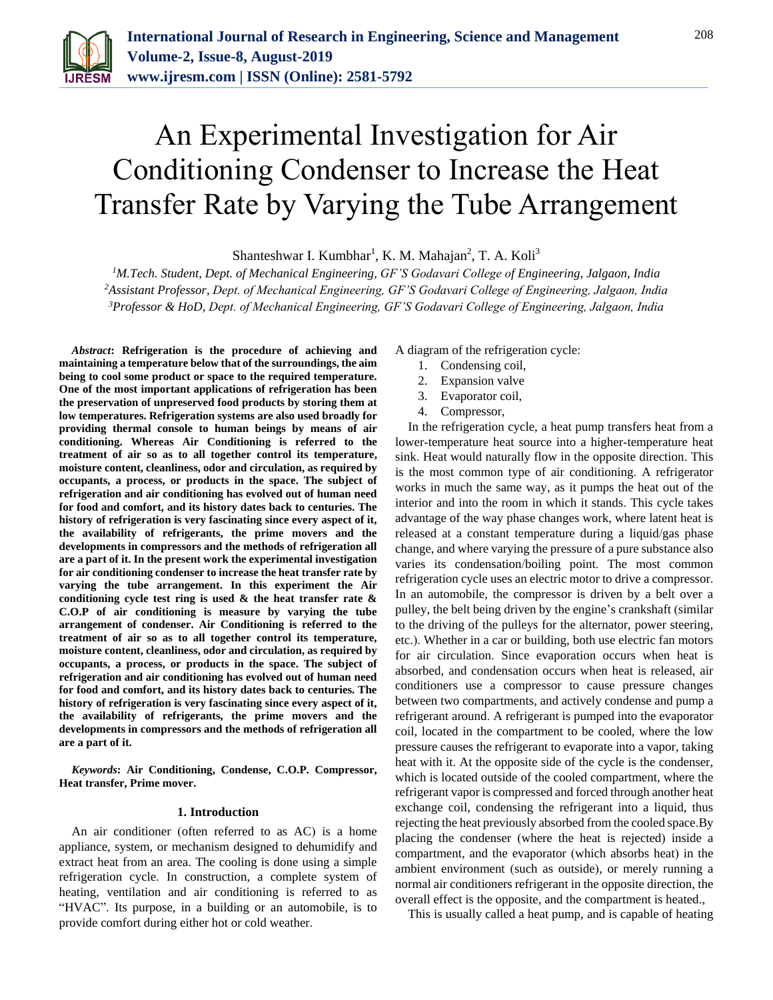

# An Experimental Investigation for Air Conditioning Condenser to Increase the Heat Transfer Rate by Varying the Tube Arrangement

Shanteshwar I. Kumbhar<sup>1</sup>, K. M. Mahajan<sup>2</sup>, T. A. Koli<sup>3</sup>

*<sup>1</sup>M.Tech. Student, Dept. of Mechanical Engineering, GF'S Godavari College of Engineering, Jalgaon, India <sup>2</sup>Assistant Professor, Dept. of Mechanical Engineering, GF'S Godavari College of Engineering, Jalgaon, India 3Professor & HoD, Dept. of Mechanical Engineering, GF'S Godavari College of Engineering, Jalgaon, India*

*Abstract***: Refrigeration is the procedure of achieving and maintaining a temperature below that of the surroundings, the aim being to cool some product or space to the required temperature. One of the most important applications of refrigeration has been the preservation of unpreserved food products by storing them at low temperatures. Refrigeration systems are also used broadly for providing thermal console to human beings by means of air conditioning. Whereas Air Conditioning is referred to the treatment of air so as to all together control its temperature, moisture content, cleanliness, odor and circulation, as required by occupants, a process, or products in the space. The subject of refrigeration and air conditioning has evolved out of human need for food and comfort, and its history dates back to centuries. The history of refrigeration is very fascinating since every aspect of it, the availability of refrigerants, the prime movers and the developments in compressors and the methods of refrigeration all are a part of it. In the present work the experimental investigation for air conditioning condenser to increase the heat transfer rate by varying the tube arrangement. In this experiment the Air conditioning cycle test ring is used & the heat transfer rate & C.O.P of air conditioning is measure by varying the tube arrangement of condenser. Air Conditioning is referred to the treatment of air so as to all together control its temperature, moisture content, cleanliness, odor and circulation, as required by occupants, a process, or products in the space. The subject of refrigeration and air conditioning has evolved out of human need for food and comfort, and its history dates back to centuries. The history of refrigeration is very fascinating since every aspect of it, the availability of refrigerants, the prime movers and the developments in compressors and the methods of refrigeration all are a part of it.** 

*Keywords***: Air Conditioning, Condense, C.O.P. Compressor, Heat transfer, Prime mover.** 

#### **1. Introduction**

An air conditioner (often referred to as AC) is a home appliance, system, or mechanism designed to dehumidify and extract heat from an area. The cooling is done using a simple refrigeration cycle. In construction, a complete system of heating, ventilation and air conditioning is referred to as "HVAC". Its purpose, in a building or an automobile, is to provide comfort during either hot or cold weather.

A diagram of the refrigeration cycle:

- 1. Condensing coil,
- 2. Expansion valve
- 3. Evaporator coil,
- 4. Compressor,

In the refrigeration cycle, a heat pump transfers heat from a lower-temperature heat source into a higher-temperature heat sink. Heat would naturally flow in the opposite direction. This is the most common type of air conditioning. A refrigerator works in much the same way, as it pumps the heat out of the interior and into the room in which it stands. This cycle takes advantage of the way phase changes work, where latent heat is released at a constant temperature during a liquid/gas phase change, and where varying the pressure of a pure substance also varies its condensation/boiling point. The most common refrigeration cycle uses an electric motor to drive a compressor. In an automobile, the compressor is driven by a belt over a pulley, the belt being driven by the engine's crankshaft (similar to the driving of the pulleys for the alternator, power steering, etc.). Whether in a car or building, both use electric fan motors for air circulation. Since evaporation occurs when heat is absorbed, and condensation occurs when heat is released, air conditioners use a compressor to cause pressure changes between two compartments, and actively condense and pump a refrigerant around. A refrigerant is pumped into the evaporator coil, located in the compartment to be cooled, where the low pressure causes the refrigerant to evaporate into a vapor, taking heat with it. At the opposite side of the cycle is the condenser, which is located outside of the cooled compartment, where the refrigerant vapor is compressed and forced through another heat exchange coil, condensing the refrigerant into a liquid, thus rejecting the heat previously absorbed from the cooled space.By placing the condenser (where the heat is rejected) inside a compartment, and the evaporator (which absorbs heat) in the ambient environment (such as outside), or merely running a normal air conditioners refrigerant in the opposite direction, the overall effect is the opposite, and the compartment is heated.,

This is usually called a heat pump, and is capable of heating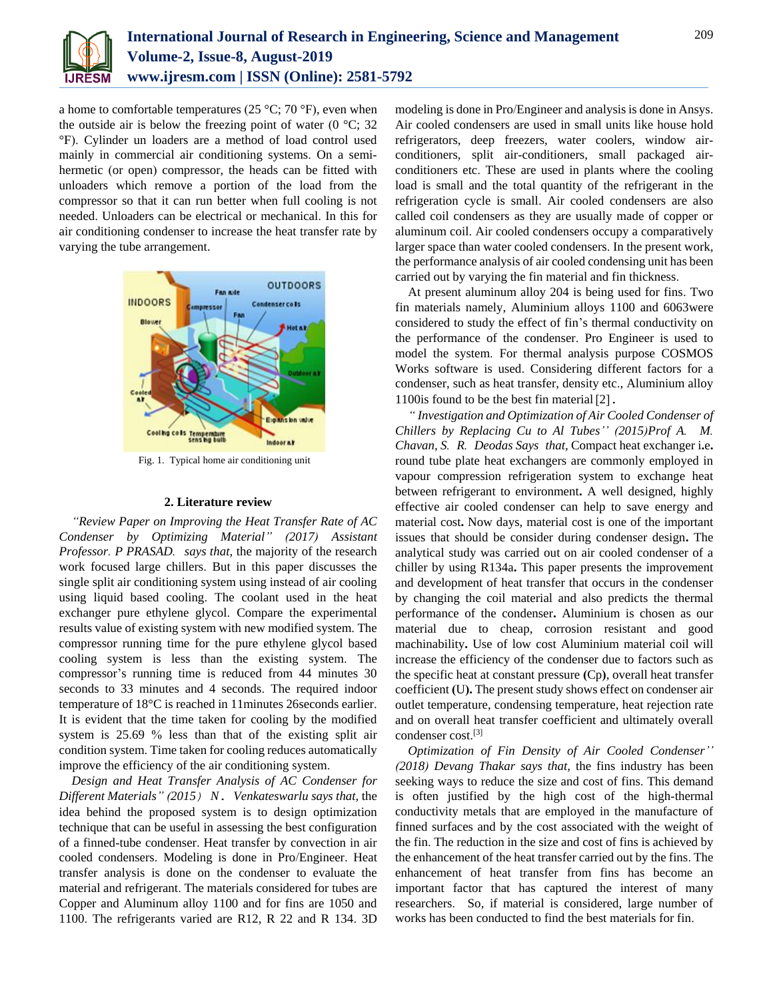

a home to comfortable temperatures (25 °C; 70 °F), even when the outside air is below the freezing point of water ( $0^{\circ}$ C; 32 °F). Cylinder un loaders are a method of load control used mainly in commercial air conditioning systems. On a semihermetic (or open) compressor, the heads can be fitted with unloaders which remove a portion of the load from the compressor so that it can run better when full cooling is not needed. Unloaders can be electrical or mechanical. In this for air conditioning condenser to increase the heat transfer rate by varying the tube arrangement.



Fig. 1. Typical home air conditioning unit

# **2. Literature review**

*"Review Paper on Improving the Heat Transfer Rate of AC Condenser by Optimizing Material" (2017) Assistant Professor. P PRASAD. says that,* the majority of the research work focused large chillers. But in this paper discusses the single split air conditioning system using instead of air cooling using liquid based cooling. The coolant used in the heat exchanger pure ethylene glycol. Compare the experimental results value of existing system with new modified system. The compressor running time for the pure ethylene glycol based cooling system is less than the existing system. The compressor's running time is reduced from 44 minutes 30 seconds to 33 minutes and 4 seconds. The required indoor temperature of 18°C is reached in 11minutes 26seconds earlier. It is evident that the time taken for cooling by the modified system is 25.69 % less than that of the existing split air condition system. Time taken for cooling reduces automatically improve the efficiency of the air conditioning system.

*Design and Heat Transfer Analysis of AC Condenser for Different Materials" (2015) N. Venkateswarlu says that,* the idea behind the proposed system is to design optimization technique that can be useful in assessing the best configuration of a finned-tube condenser. Heat transfer by convection in air cooled condensers. Modeling is done in Pro/Engineer. Heat transfer analysis is done on the condenser to evaluate the material and refrigerant. The materials considered for tubes are Copper and Aluminum alloy 1100 and for fins are 1050 and 1100. The refrigerants varied are R12, R 22 and R 134. 3D

modeling is done in Pro/Engineer and analysis is done in Ansys. Air cooled condensers are used in small units like house hold refrigerators, deep freezers, water coolers, window airconditioners, split air-conditioners, small packaged airconditioners etc. These are used in plants where the cooling load is small and the total quantity of the refrigerant in the refrigeration cycle is small. Air cooled condensers are also called coil condensers as they are usually made of copper or aluminum coil. Air cooled condensers occupy a comparatively larger space than water cooled condensers. In the present work, the performance analysis of air cooled condensing unit has been carried out by varying the fin material and fin thickness.

At present aluminum alloy 204 is being used for fins. Two fin materials namely, Aluminium alloys 1100 and 6063were considered to study the effect of fin's thermal conductivity on the performance of the condenser. Pro Engineer is used to model the system. For thermal analysis purpose COSMOS Works software is used. Considering different factors for a condenser, such as heat transfer, density etc., Aluminium alloy 1100is found to be the best fin material[2].

*" Investigation and Optimization of Air Cooled Condenser of Chillers by Replacing Cu to Al Tubes'' (2015)Prof A. M. Chavan, S. R. Deodas Says that,* Compact heat exchanger i**.**e**.**  round tube plate heat exchangers are commonly employed in vapour compression refrigeration system to exchange heat between refrigerant to environment**.** A well designed, highly effective air cooled condenser can help to save energy and material cost**.** Now days, material cost is one of the important issues that should be consider during condenser design**.** The analytical study was carried out on air cooled condenser of a chiller by using R134a**.** This paper presents the improvement and development of heat transfer that occurs in the condenser by changing the coil material and also predicts the thermal performance of the condenser**.** Aluminium is chosen as our material due to cheap, corrosion resistant and good machinability**.** Use of low cost Aluminium material coil will increase the efficiency of the condenser due to factors such as the specific heat at constant pressure **(**Cp**)**, overall heat transfer coefficient **(**U**).** The present study shows effect on condenser air outlet temperature, condensing temperature, heat rejection rate and on overall heat transfer coefficient and ultimately overall condenser cost. [3]

*Optimization of Fin Density of Air Cooled Condenser'' (2018) Devang Thakar says that,* the fins industry has been seeking ways to reduce the size and cost of fins. This demand is often justified by the high cost of the high-thermal conductivity metals that are employed in the manufacture of finned surfaces and by the cost associated with the weight of the fin. The reduction in the size and cost of fins is achieved by the enhancement of the heat transfer carried out by the fins. The enhancement of heat transfer from fins has become an important factor that has captured the interest of many researchers. So, if material is considered, large number of works has been conducted to find the best materials for fin.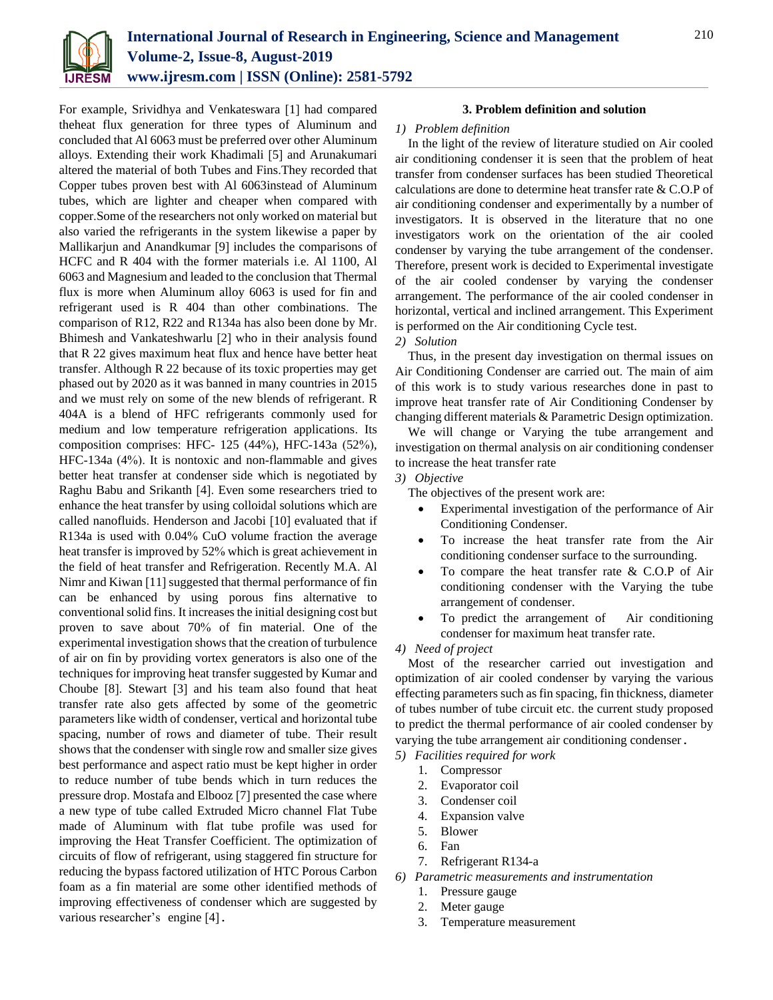

For example, Srividhya and Venkateswara [1] had compared theheat flux generation for three types of Aluminum and concluded that Al 6063 must be preferred over other Aluminum alloys. Extending their work Khadimali [5] and Arunakumari altered the material of both Tubes and Fins.They recorded that Copper tubes proven best with Al 6063instead of Aluminum tubes, which are lighter and cheaper when compared with copper.Some of the researchers not only worked on material but also varied the refrigerants in the system likewise a paper by Mallikarjun and Anandkumar [9] includes the comparisons of HCFC and R 404 with the former materials i.e. Al 1100, Al 6063 and Magnesium and leaded to the conclusion that Thermal flux is more when Aluminum alloy 6063 is used for fin and refrigerant used is R 404 than other combinations. The comparison of R12, R22 and R134a has also been done by Mr. Bhimesh and Vankateshwarlu [2] who in their analysis found that R 22 gives maximum heat flux and hence have better heat transfer. Although R 22 because of its toxic properties may get phased out by 2020 as it was banned in many countries in 2015 and we must rely on some of the new blends of refrigerant. R 404A is a blend of HFC refrigerants commonly used for medium and low temperature refrigeration applications. Its composition comprises: HFC- 125 (44%), HFC-143a (52%), HFC-134a (4%). It is nontoxic and non-flammable and gives better heat transfer at condenser side which is negotiated by Raghu Babu and Srikanth [4]. Even some researchers tried to enhance the heat transfer by using colloidal solutions which are called nanofluids. Henderson and Jacobi [10] evaluated that if R134a is used with 0.04% CuO volume fraction the average heat transfer is improved by 52% which is great achievement in the field of heat transfer and Refrigeration. Recently M.A. Al Nimr and Kiwan [11] suggested that thermal performance of fin can be enhanced by using porous fins alternative to conventional solid fins. It increases the initial designing cost but proven to save about 70% of fin material. One of the experimental investigation shows that the creation of turbulence of air on fin by providing vortex generators is also one of the techniques for improving heat transfer suggested by Kumar and Choube [8]. Stewart [3] and his team also found that heat transfer rate also gets affected by some of the geometric parameters like width of condenser, vertical and horizontal tube spacing, number of rows and diameter of tube. Their result shows that the condenser with single row and smaller size gives best performance and aspect ratio must be kept higher in order to reduce number of tube bends which in turn reduces the pressure drop. Mostafa and Elbooz [7] presented the case where a new type of tube called Extruded Micro channel Flat Tube made of Aluminum with flat tube profile was used for improving the Heat Transfer Coefficient. The optimization of circuits of flow of refrigerant, using staggered fin structure for reducing the bypass factored utilization of HTC Porous Carbon foam as a fin material are some other identified methods of improving effectiveness of condenser which are suggested by various researcher's engine [4].

## **3. Problem definition and solution**

#### *1) Problem definition*

In the light of the review of literature studied on Air cooled air conditioning condenser it is seen that the problem of heat transfer from condenser surfaces has been studied Theoretical calculations are done to determine heat transfer rate & C.O.P of air conditioning condenser and experimentally by a number of investigators. It is observed in the literature that no one investigators work on the orientation of the air cooled condenser by varying the tube arrangement of the condenser. Therefore, present work is decided to Experimental investigate of the air cooled condenser by varying the condenser arrangement. The performance of the air cooled condenser in horizontal, vertical and inclined arrangement. This Experiment is performed on the Air conditioning Cycle test.

#### *2) Solution*

Thus, in the present day investigation on thermal issues on Air Conditioning Condenser are carried out. The main of aim of this work is to study various researches done in past to improve heat transfer rate of Air Conditioning Condenser by changing different materials & Parametric Design optimization.

We will change or Varying the tube arrangement and investigation on thermal analysis on air conditioning condenser to increase the heat transfer rate

#### *3) Objective*

The objectives of the present work are:

- Experimental investigation of the performance of Air Conditioning Condenser.
- To increase the heat transfer rate from the Air conditioning condenser surface to the surrounding.
- To compare the heat transfer rate & C.O.P of Air conditioning condenser with the Varying the tube arrangement of condenser.
- To predict the arrangement of Air conditioning condenser for maximum heat transfer rate.

## *4) Need of project*

Most of the researcher carried out investigation and optimization of air cooled condenser by varying the various effecting parameters such as fin spacing, fin thickness, diameter of tubes number of tube circuit etc. the current study proposed to predict the thermal performance of air cooled condenser by varying the tube arrangement air conditioning condenser.

- *5) Facilities required for work*
	- 1. Compressor
	- 2. Evaporator coil
	- 3. Condenser coil
	- 4. Expansion valve
	- 5. Blower
	- 6. Fan
	- 7. Refrigerant R134-a
- *6) Parametric measurements and instrumentation*
	- 1. Pressure gauge
	- 2. Meter gauge
	- 3. Temperature measurement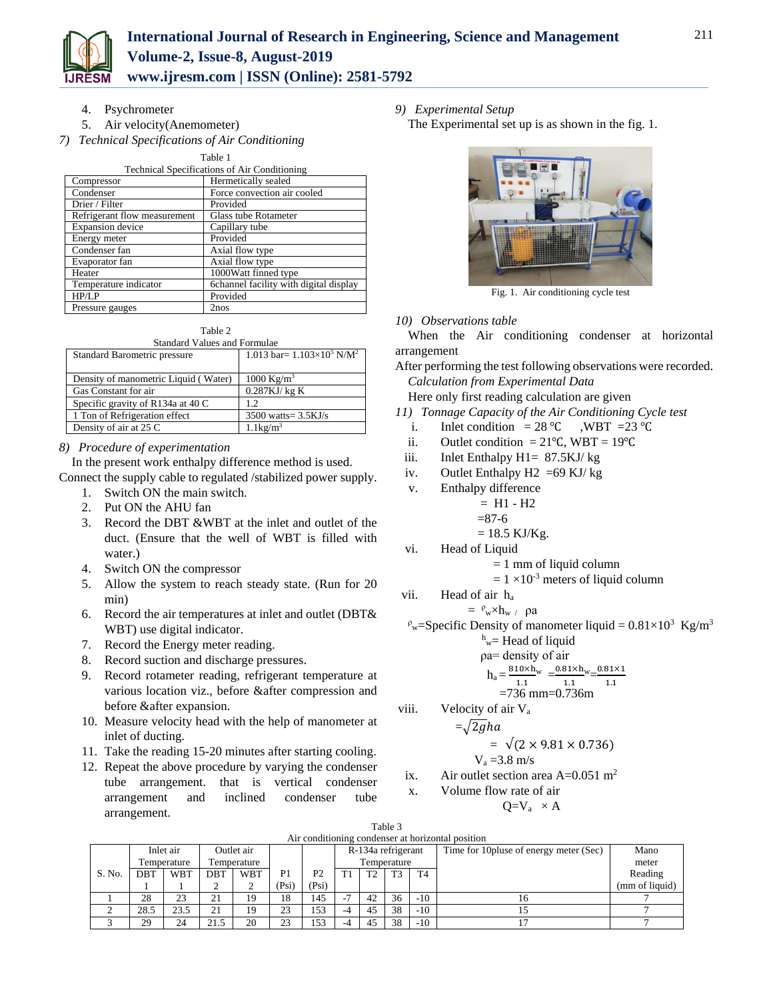

4. Psychrometer

- 5. Air velocity(Anemometer)
- *7) Technical Specifications of Air Conditioning*

Table 1

| <b>Technical Specifications of Air Conditioning</b> |                                        |  |  |  |  |  |  |
|-----------------------------------------------------|----------------------------------------|--|--|--|--|--|--|
| Compressor                                          | Hermetically sealed                    |  |  |  |  |  |  |
| Condenser                                           | Force convection air cooled            |  |  |  |  |  |  |
| Drier / Filter                                      | Provided                               |  |  |  |  |  |  |
| Refrigerant flow measurement                        | Glass tube Rotameter                   |  |  |  |  |  |  |
| <b>Expansion</b> device                             | Capillary tube                         |  |  |  |  |  |  |
| Energy meter                                        | Provided                               |  |  |  |  |  |  |
| Condenser fan                                       | Axial flow type                        |  |  |  |  |  |  |
| Evaporator fan                                      | Axial flow type                        |  |  |  |  |  |  |
| Heater                                              | 1000Watt finned type                   |  |  |  |  |  |  |
| Temperature indicator                               | 6channel facility with digital display |  |  |  |  |  |  |
| HP/LP                                               | Provided                               |  |  |  |  |  |  |
| Pressure gauges                                     | 2nos                                   |  |  |  |  |  |  |

Table 2

| <b>Standard Values and Formulae</b>  |                                               |  |  |  |  |  |  |  |  |
|--------------------------------------|-----------------------------------------------|--|--|--|--|--|--|--|--|
| Standard Barometric pressure         | 1.013 bar= $1.103\times10^5$ N/M <sup>2</sup> |  |  |  |  |  |  |  |  |
|                                      |                                               |  |  |  |  |  |  |  |  |
| Density of manometric Liquid (Water) | 1000 Kg/m <sup>3</sup>                        |  |  |  |  |  |  |  |  |
| Gas Constant for air                 | $0.287$ KJ/ $kg$ K                            |  |  |  |  |  |  |  |  |
| Specific gravity of R134a at 40 C    | 1.2                                           |  |  |  |  |  |  |  |  |
| 1 Ton of Refrigeration effect        | $3500$ watts= $3.5$ KJ/s                      |  |  |  |  |  |  |  |  |
| Density of air at 25 C               | $1.1\text{kg/m}^3$                            |  |  |  |  |  |  |  |  |

# *8) Procedure of experimentation*

In the present work enthalpy difference method is used.

- Connect the supply cable to regulated /stabilized power supply.
	- 1. Switch ON the main switch.
	- 2. Put ON the AHU fan
	- 3. Record the DBT &WBT at the inlet and outlet of the duct. (Ensure that the well of WBT is filled with water.)
	- 4. Switch ON the compressor
	- 5. Allow the system to reach steady state. (Run for 20 min)
	- 6. Record the air temperatures at inlet and outlet (DBT& WBT) use digital indicator.
	- 7. Record the Energy meter reading.
	- 8. Record suction and discharge pressures.
	- 9. Record rotameter reading, refrigerant temperature at various location viz., before &after compression and before &after expansion.
	- 10. Measure velocity head with the help of manometer at inlet of ducting.
	- 11. Take the reading 15-20 minutes after starting cooling.
	- 12. Repeat the above procedure by varying the condenser tube arrangement. that is vertical condenser arrangement and inclined condenser tube arrangement.
- *9) Experimental Setup*
	- The Experimental set up is as shown in the fig. 1.



Fig. 1. Air conditioning cycle test

# *10) Observations table*

When the Air conditioning condenser at horizontal arrangement

After performing the test following observations were recorded. *Calculation from Experimental Data*

Here only first reading calculation are given

- *11) Tonnage Capacity of the Air Conditioning Cycle test* 
	- i. Inlet condition =  $28 \text{ °C}$  , WBT =  $23 \text{ °C}$
	- ii. Outlet condition =  $21^{\circ}$ C, WBT =  $19^{\circ}$ C
- iii. Inlet Enthalpy H1= 87.5KJ/ kg
- iv. Outlet Enthalpy  $H2 = 69$  KJ/kg
- v. Enthalpy difference
	- $= H1 H2$

$$
= 87-6
$$

$$
= 18.5 \text{ KJ/Kg}.
$$

- vi. Head of Liquid
	- $= 1$  mm of liquid column
	- $= 1 \times 10^{-3}$  meters of liquid column
- vii. Head of air h<sup>a</sup>

$$
= \ ^{\rho} _{w} \times h _{w} \ / \ \rho a
$$

 $P_w$ =Specific Density of manometer liquid = 0.81×10<sup>3</sup> Kg/m<sup>3</sup>

$$
h_{\text{w}} = \text{Head of liquid}
$$
  
oa= density of air

$$
h_a = \frac{810 \times h_w}{1.1} = \frac{0.81 \times h_w}{1.1} = \frac{0.81 \times h_w}{1.1}
$$

$$
=736 \text{ mm} = 0.736 \text{m}
$$

viii. Velocity of air V<sub>a</sub>

$$
=\sqrt{2gha}
$$

$$
= \sqrt{(2 \times 9.81 \times 0.736)}
$$
  
V = 3.8 m/s

$$
\mathbf{v}_a = 3.6 \text{ m/s}
$$

ix. Air outlet section area  $A=0.051$  m<sup>2</sup> x. Volume flow rate of air

e now rate of air  

$$
Q=V_a \times A
$$

| Air conditioning condenser at horizontal position |            |             |            |             |                |                |                          |                |                |                                         |       |                |
|---------------------------------------------------|------------|-------------|------------|-------------|----------------|----------------|--------------------------|----------------|----------------|-----------------------------------------|-------|----------------|
|                                                   |            | Inlet air   |            | Outlet air  |                |                | R-134a refrigerant       |                |                | Time for 10 pluse of energy meter (Sec) | Mano  |                |
|                                                   |            | Temperature |            | Temperature |                |                | Temperature              |                |                |                                         | meter |                |
| S. No.                                            | <b>DBT</b> | <b>WBT</b>  | <b>DBT</b> | <b>WBT</b>  | P <sub>1</sub> | P <sub>2</sub> | T <sub>1</sub>           | T <sub>2</sub> | T <sub>3</sub> | T <sub>4</sub>                          |       | Reading        |
|                                                   |            |             |            | ∸           | (Psi)          | (Psi)          |                          |                |                |                                         |       | (mm of liquid) |
|                                                   | 28         | 23          | 21         | 19          | 18             | 145            | $\overline{\phantom{a}}$ | 42             | 36             | $-10$                                   | 16    |                |
|                                                   | 28.5       | 23.5        | 21         | 19          | 23             | 153            | -4                       | 45             | 38             | $-10$                                   |       |                |
|                                                   | 29         | 24          | 21.5       | 20          | 23             | 153            |                          | 45             | 38             | $-10$                                   |       |                |

Table 3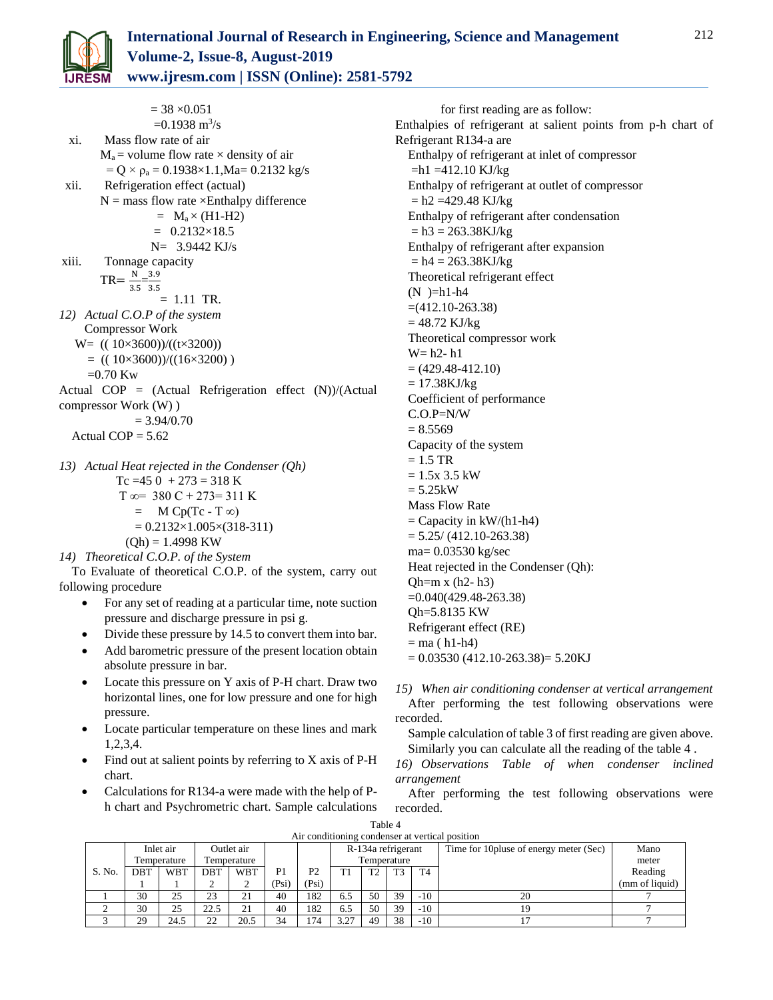$= 38 \times 0.051$  $=0.1938 \text{ m}^3/\text{s}$ xi. Mass flow rate of air  $M_a$  = volume flow rate  $\times$  density of air  $= Q \times \rho_a = 0.1938 \times 1.1$ , Ma $= 0.2132$  kg/s xii. Refrigeration effect (actual)  $N =$  mass flow rate  $\times$ Enthalpy difference  $= M_a \times (H1-H2)$  $= 0.2132 \times 18.5$  N= 3.9442 KJ/s xiii. Tonnage capacity  $TR = \frac{N}{34}$  $\frac{N}{3.5} = \frac{3.9}{3.5}$ 3.5  $= 1.11$  TR. *12) Actual C.O.P of the system*  Compressor Work W= (( 10×3600))/((t×3200))  $=$  (( 10×3600))/((16×3200))  $=0.70$  Kw Actual COP =  $(Actual$  Refrigeration effect  $(N)/(Actual)$ compressor Work (W) )  $= 3.94/0.70$ Actual  $COP = 5.62$ 

\n- 13) Actual Heat rejected in the Condenser 
$$
(Qh)
$$
  $Tc = 450 + 273 = 318 \text{ K}$   $T \infty = 380 \text{ C} + 273 = 311 \text{ K}$   $= \text{M Cp}(Tc - T \infty)$   $= 0.2132 \times 1.005 \times (318-311)$  (Qh) = 1.4998 KW
\n- 14) Theoretical C.O.P. of the System
\n

To Evaluate of theoretical C.O.P. of the system, carry out following procedure

- For any set of reading at a particular time, note suction pressure and discharge pressure in psi g.
- Divide these pressure by 14.5 to convert them into bar.
- Add barometric pressure of the present location obtain absolute pressure in bar.
- Locate this pressure on Y axis of P-H chart. Draw two horizontal lines, one for low pressure and one for high pressure.
- Locate particular temperature on these lines and mark 1,2,3,4.
- Find out at salient points by referring to X axis of P-H chart.
- Calculations for R134-a were made with the help of Ph chart and Psychrometric chart. Sample calculations

for first reading are as follow: Enthalpies of refrigerant at salient points from p-h chart of Refrigerant R134-a are Enthalpy of refrigerant at inlet of compressor  $= h1 = 412.10$  KJ/kg Enthalpy of refrigerant at outlet of compressor  $= h2 = 429.48$  KJ/kg Enthalpy of refrigerant after condensation  $= h3 = 263.38$ KJ/kg Enthalpy of refrigerant after expansion  $= h4 = 263.38$ KJ/kg Theoretical refrigerant effect  $(N)$ =h1-h4  $=(412.10-263.38)$  $= 48.72$  KJ/kg Theoretical compressor work W= h2- h1  $= (429.48 - 412.10)$  $= 17.38KJ/kg$ Coefficient of performance C.O.P=N/W  $= 8.5569$ Capacity of the system  $= 1.5$  TR  $= 1.5x$  3.5 kW  $= 5.25kW$ Mass Flow Rate  $=$  Capacity in kW/(h1-h4)  $= 5.25/(412.10-263.38)$ ma= 0.03530 kg/sec Heat rejected in the Condenser (Qh):  $Qh=mx (h2-h3)$ =0.040(429.48-263.38) Qh=5.8135 KW

- Refrigerant effect (RE)  $=$  ma ( h1-h4)
- $= 0.03530 (412.10 263.38) = 5.20KJ$
- *15) When air conditioning condenser at vertical arrangement*  After performing the test following observations were recorded.
	- Sample calculation of table 3 of first reading are given above. Similarly you can calculate all the reading of the table 4 .
- *16) Observations Table of when condenser inclined arrangement*
- After performing the test following observations were recorded.

| Air conditioning condenser at vertical position |            |             |            |             |                |                |                    |                |                |                                         |       |                |
|-------------------------------------------------|------------|-------------|------------|-------------|----------------|----------------|--------------------|----------------|----------------|-----------------------------------------|-------|----------------|
|                                                 |            | Inlet air   |            | Outlet air  |                |                | R-134a refrigerant |                |                | Time for 10 pluse of energy meter (Sec) | Mano  |                |
|                                                 |            | Temperature |            | Temperature |                |                | Temperature        |                |                |                                         | meter |                |
| S. No.                                          | <b>DBT</b> | <b>WBT</b>  | <b>DBT</b> | <b>WBT</b>  | P <sub>1</sub> | P <sub>2</sub> | T1                 | T <sub>2</sub> | T <sub>3</sub> | T <sub>4</sub>                          |       | Reading        |
|                                                 |            |             |            |             | (Psi)          | (Psi)          |                    |                |                |                                         |       | (mm of liquid) |
|                                                 | 30         | 25          | 23         | 21          | 40             | 182            | 6.5                | 50             | 39             | $-10$                                   | 20    |                |
|                                                 | 30         | 25          | 22.5       | 21          | 40             | 182            | 6.5                | 50             | 39             | $-10$                                   | 19    |                |
|                                                 | 29         | 24.5        | 22         | 20.5        | 34             | 174            | 3.27               | 49             | 38             | $-10$                                   |       |                |

Table 4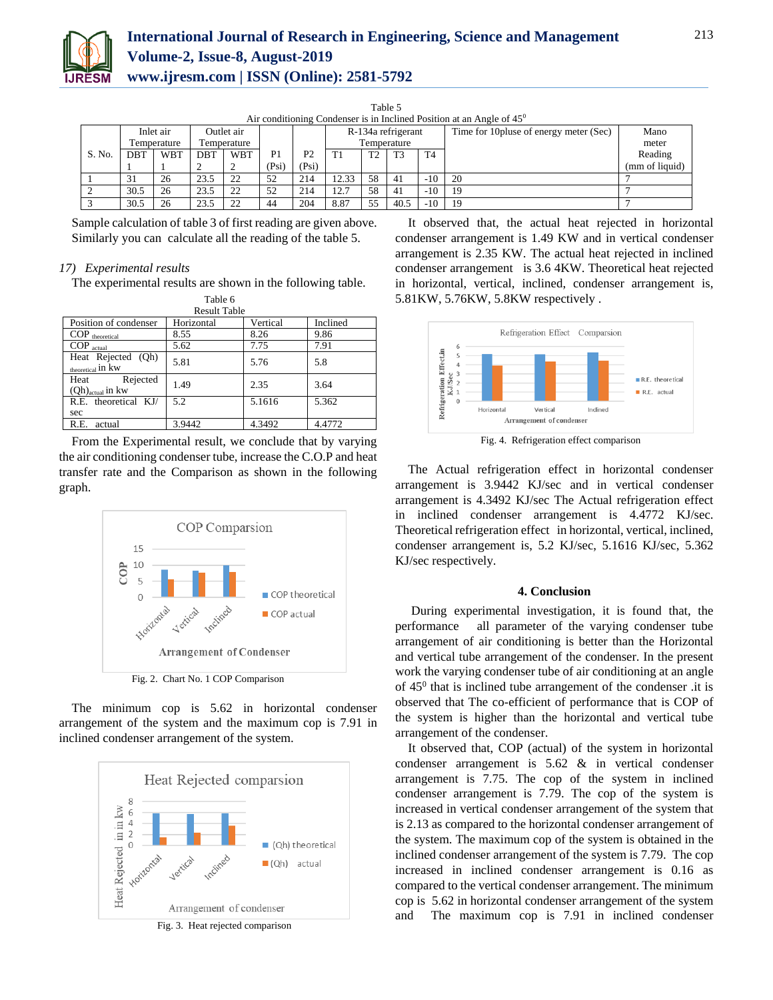

| Air conditioning Condenser is in Inclined Position at an Angle of $45^{\circ}$ |            |             |            |             |       |                |                    |    |                |                |                                         |                |
|--------------------------------------------------------------------------------|------------|-------------|------------|-------------|-------|----------------|--------------------|----|----------------|----------------|-----------------------------------------|----------------|
|                                                                                |            | Inlet air   |            | Outlet air  |       |                | R-134a refrigerant |    |                |                | Time for 10 pluse of energy meter (Sec) | Mano           |
|                                                                                |            | Temperature |            | Temperature |       |                | Temperature        |    |                |                |                                         | meter          |
| S. No.                                                                         | <b>DBT</b> | <b>WBT</b>  | <b>DBT</b> | <b>WBT</b>  | P1    | P <sub>2</sub> |                    | T2 | T <sub>3</sub> | T <sub>4</sub> |                                         | Reading        |
|                                                                                |            |             |            |             | (Psi) | (Psi)          |                    |    |                |                |                                         | (mm of liquid) |
|                                                                                | 31         | 26          | 23.5       | 22          | 52    | 214            | 12.33              | 58 | 41             | $-10$          | 20                                      |                |
|                                                                                | 30.5       | 26          | 23.5       | 22          | 52    | 214            | 12.7               | 58 | 41             | $-10$          | 19                                      |                |
|                                                                                | 30.5       | 26          | 23.5       | 22          | 44    | 204            | 8.87               | 55 | 40.5           | $-10$          | 19                                      |                |

Table 5

Sample calculation of table 3 of first reading are given above.

# *17) Experimental results*

The experimental results are shown in the following table.

Similarly you can calculate all the reading of the table 5.

| Table 6                                            |            |          |          |  |  |  |  |  |  |  |
|----------------------------------------------------|------------|----------|----------|--|--|--|--|--|--|--|
| <b>Result Table</b>                                |            |          |          |  |  |  |  |  |  |  |
| Position of condenser                              | Horizontal | Vertical | Inclined |  |  |  |  |  |  |  |
| $COP$ theoretical                                  | 8.55       | 8.26     | 9.86     |  |  |  |  |  |  |  |
| $COP_{actual}$                                     | 5.62       | 7.75     | 7.91     |  |  |  |  |  |  |  |
| Heat Rejected (Qh)<br>theoretical <sup>in</sup> kw | 5.81       | 5.76     | 5.8      |  |  |  |  |  |  |  |
| Rejected<br>Heat<br>$(Qh)_{actual}$ in kw          | 1.49       | 2.35     | 3.64     |  |  |  |  |  |  |  |
| R.E. theoretical KJ/                               | 5.2        | 5.1616   | 5.362    |  |  |  |  |  |  |  |
| sec                                                |            |          |          |  |  |  |  |  |  |  |
| R.E.<br>actual                                     | 3.9442     | 4.3492   | 4.4772   |  |  |  |  |  |  |  |

From the Experimental result, we conclude that by varying the air conditioning condenser tube, increase the C.O.P and heat transfer rate and the Comparison as shown in the following graph.



The minimum cop is 5.62 in horizontal condenser arrangement of the system and the maximum cop is 7.91 in inclined condenser arrangement of the system.



Fig. 3. Heat rejected comparison

It observed that, the actual heat rejected in horizontal condenser arrangement is 1.49 KW and in vertical condenser arrangement is 2.35 KW. The actual heat rejected in inclined condenser arrangement is 3.6 4KW. Theoretical heat rejected in horizontal, vertical, inclined, condenser arrangement is, 5.81KW, 5.76KW, 5.8KW respectively .



Fig. 4. Refrigeration effect comparison

The Actual refrigeration effect in horizontal condenser arrangement is 3.9442 KJ/sec and in vertical condenser arrangement is 4.3492 KJ/sec The Actual refrigeration effect in inclined condenser arrangement is 4.4772 KJ/sec. Theoretical refrigeration effect in horizontal, vertical, inclined, condenser arrangement is, 5.2 KJ/sec, 5.1616 KJ/sec, 5.362 KJ/sec respectively.

#### **4. Conclusion**

During experimental investigation, it is found that, the performance all parameter of the varying condenser tube arrangement of air conditioning is better than the Horizontal and vertical tube arrangement of the condenser. In the present work the varying condenser tube of air conditioning at an angle of  $45^{\circ}$  that is inclined tube arrangement of the condenser .it is observed that The co-efficient of performance that is COP of the system is higher than the horizontal and vertical tube arrangement of the condenser.

It observed that, COP (actual) of the system in horizontal condenser arrangement is 5.62 & in vertical condenser arrangement is 7.75. The cop of the system in inclined condenser arrangement is 7.79. The cop of the system is increased in vertical condenser arrangement of the system that is 2.13 as compared to the horizontal condenser arrangement of the system. The maximum cop of the system is obtained in the inclined condenser arrangement of the system is 7.79. The cop increased in inclined condenser arrangement is 0.16 as compared to the vertical condenser arrangement. The minimum cop is 5.62 in horizontal condenser arrangement of the system and The maximum cop is 7.91 in inclined condenser